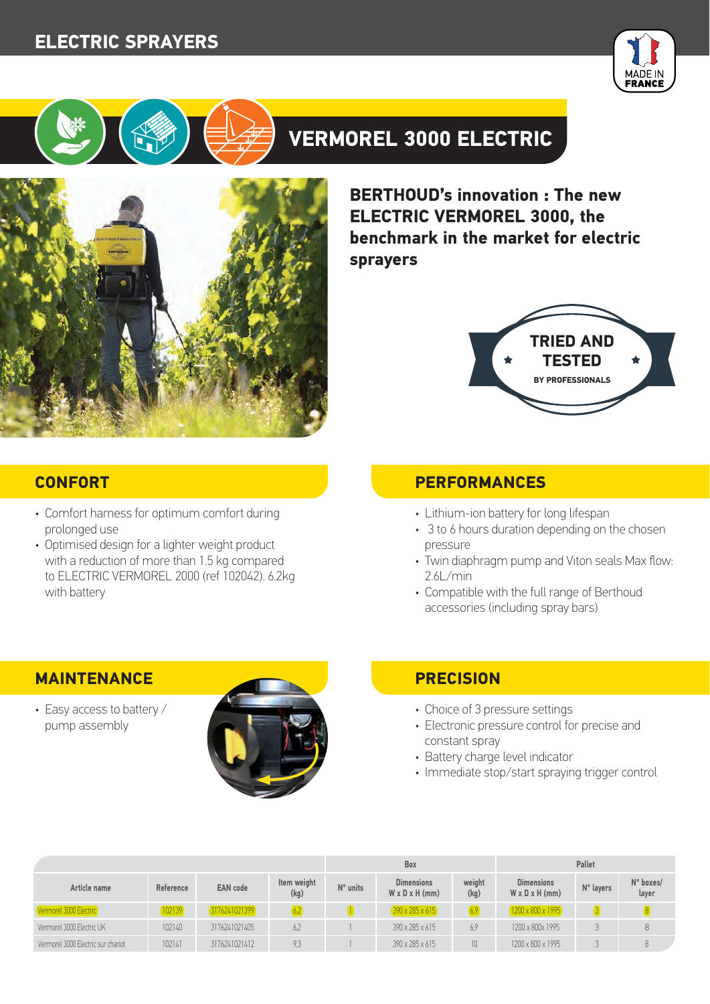## **ELECTRIC SPRAYERS**





# **VERMOREL 3000 ELECTRIC**



**BERTHOUD's innovation : The new ELECTRIC VERMOREL 3000, the benchmark in the market for electric sprayers**



- Comfort harness for optimum comfort during prolonged use
- Optimised design for a lighter weight product with a reduction of more than 1.5 kg compared to ELECTRIC VERMOREL 2000 (ref 102042). 6.2kg with battery

### **CONFORT PERFORMANCES**

- Lithium-ion battery for long lifespan
- 3 to 6 hours duration depending on the chosen pressure
- Twin diaphragm pump and Viton seals Max flow: 2.6L/min
- Compatible with the full range of Berthoud accessories (including spray bars)

• Easy access to battery / pump assembly



- Choice of 3 pressure settings
- Electronic pressure control for precise and constant spray
- Battery charge level indicator
- Immediate stop/start spraying trigger control

|                                    |           |                 |                     | <b>Box</b> |                                                 |                 | <b>Pallet</b>                                   |           |                    |
|------------------------------------|-----------|-----------------|---------------------|------------|-------------------------------------------------|-----------------|-------------------------------------------------|-----------|--------------------|
| Article name                       | Reference | <b>EAN</b> code | Item weight<br>(kg) | $N°$ units | <b>Dimensions</b><br>$W \times D \times H$ (mm) | weight<br>(kg)  | <b>Dimensions</b><br>$W \times D \times H$ (mm) | N° layers | N° boxes/<br>layer |
| Vermorel 3000 Electric             | 102139    | 3176241021399   |                     |            | $(390 \times 285 \times 615)$                   | 6,9             | 1200 x 800 x 1995                               |           |                    |
| Vermorel 3000 Electric UK          | 102140    | 3176241021405   | 6.2                 |            | 390 x 285 x 615                                 | 6.9             | 1200 x 800x 1995                                |           |                    |
| Vermorel 3000 Flectric sur chariot | 102141    | 3176241021412   | 9,3                 |            | 390 x 285 x 615                                 | 10 <sup>1</sup> | 1200 x 800 x 1995                               |           |                    |